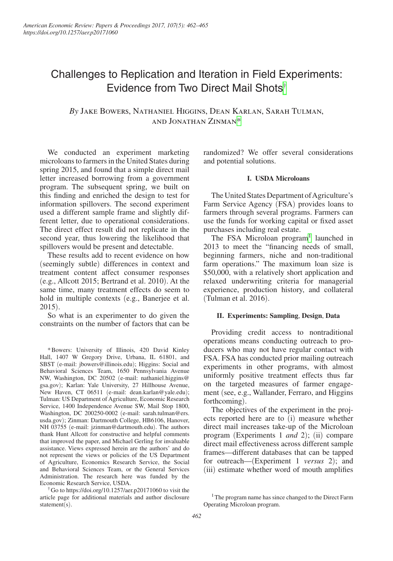# Challenges to Replication and Iteration in Field Experiments: Evidence from Two Direct Mail Shots[†](#page-0-0)

## *By* Jake Bowers, Nathaniel Higgins, Dean Karlan, Sarah Tulman, and Jonathan Zinman[\\*](#page-0-1)

We conducted an experiment marketing microloans to farmers in the United States during spring 2015, and found that a simple direct mail letter increased borrowing from a government program. The subsequent spring, we built on this finding and enriched the design to test for information spillovers. The second experiment used a different sample frame and slightly different letter, due to operational considerations. The direct effect result did not replicate in the second year, thus lowering the likelihood that spillovers would be present and detectable.

These results add to recent evidence on how (seemingly subtle) differences in context and treatment content affect consumer responses (e.g., Allcott 2015; Bertrand et al. 2010). At the same time, many treatment effects do seem to hold in multiple contexts (e.g., Banerjee et al. 2015).

So what is an experimenter to do given the constraints on the number of factors that can be

<span id="page-0-1"></span>\*Bowers: University of Illinois, 420 David Kinley Hall, 1407 W Gregory Drive, Urbana, IL 61801, and SBST (e-mail: jbowers@illinois.edu); Higgins: Social and Behavioral Sciences Team, 1650 Pennsylvania Avenue NW, Washington, DC 20502 (e-mail: nathaniel.higgins@ gsa.gov); Karlan: Yale University, 27 Hillhouse Avenue, New Haven, CT 06511 (e-mail: dean.karlan@yale.edu); Tulman: US Department of Agriculture, Economic Research Service, 1400 Independence Avenue SW, Mail Stop 1800, Washington, DC 200250-0002 (e-mail: sarah.tulman@ers. usda.gov); Zinman: Dartmouth College, HB6106, Hanover, NH 03755 (e-mail: jzinman@dartmouth.edu). The authors thank Hunt Allcott for constructive and helpful comments that improved the paper, and Michael Gerling for invaluable assistance. Views expressed herein are the authors' and do not represent the views or policies of the US Department of Agriculture, Economics Research Service, the Social and Behavioral Sciences Team, or the General Services Administration. The research here was funded by the Economic Research Service, USDA.

<span id="page-0-0"></span>†Go to https://doi.org/10.1257/aer.p20171060 to visit the article page for additional materials and author disclosure statement(s).

randomized? We offer several considerations and potential solutions.

#### **I. USDA Microloans**

The United States Department of Agriculture's Farm Service Agency (FSA) provides loans to farmers through several programs. Farmers can use the funds for working capital or fixed asset purchases including real estate.

The FSA Microloan program<sup>1</sup> launched in 2013 to meet the "financing needs of small, beginning farmers, niche and non-traditional farm operations." The maximum loan size is \$50,000, with a relatively short application and relaxed underwriting criteria for managerial experience, production history, and collateral (Tulman et al. 2016).

#### **II. Experiments: Sampling**, **Design**, **Data**

Providing credit access to nontraditional operations means conducting outreach to producers who may not have regular contact with FSA. FSA has conducted prior mailing outreach experiments in other programs, with almost uniformly positive treatment effects thus far on the targeted measures of farmer engagement (see, e.g., Wallander, Ferraro, and Higgins forthcoming).

The objectives of the experiment in the projects reported here are to (i) measure whether direct mail increases take-up of the Microloan program (Experiments 1 *and* 2); (ii) compare direct mail effectiveness across different sample frames—different databases that can be tapped for outreach—(Experiment 1 *versus* 2); and (iii) estimate whether word of mouth amplifies

<span id="page-0-2"></span><sup>&</sup>lt;sup>1</sup> The program name has since changed to the Direct Farm Operating Microloan program.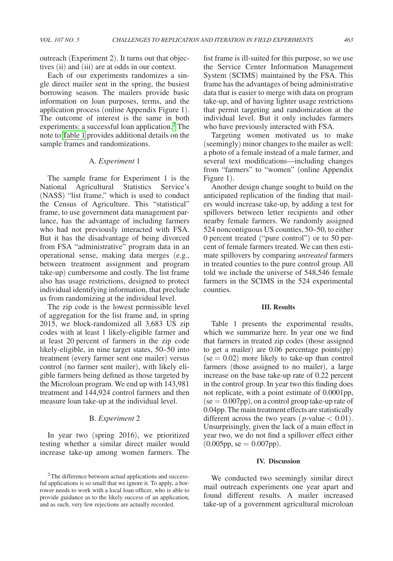outreach (Experiment 2). It turns out that objectives (ii) and (iii) are at odds in our context.

Each of our experiments randomizes a single direct mailer sent in the spring, the busiest borrowing season. The mailers provide basic information on loan purposes, terms, and the application process (online Appendix Figure 1). The outcome of interest is the same in both experiments: a successful loan application. $2$  The note to [Table 1](#page-2-0) provides additional details on the sample frames and randomizations.

#### A. *Experiment* 1

The sample frame for Experiment 1 is the National Agricultural Statistics Service's (NASS) "list frame," which is used to conduct the Census of Agriculture. This "statistical" frame, to use government data management parlance, has the advantage of including farmers who had not previously interacted with FSA. But it has the disadvantage of being divorced from FSA "administrative" program data in an operational sense, making data merges (e.g., between treatment assignment and program take-up) cumbersome and costly. The list frame also has usage restrictions, designed to protect individual identifying information, that preclude us from randomizing at the individual level.

The zip code is the lowest permissible level of aggregation for the list frame and, in spring 2015, we block-randomized all 3,683 US zip codes with at least 1 likely-eligible farmer and at least 20 percent of farmers in the zip code likely-eligible, in nine target states, 50–50 into treatment (every farmer sent one mailer) versus control (no farmer sent mailer), with likely eligible farmers being defined as those targeted by the Microloan program. We end up with 143,981 treatment and 144,924 control farmers and then measure loan take-up at the individual level.

#### B. *Experiment* 2

In year two (spring 2016), we prioritized testing whether a similar direct mailer would increase take-up among women farmers. The list frame is ill-suited for this purpose, so we use the Service Center Information Management System (SCIMS) maintained by the FSA. This frame has the advantages of being administrative data that is easier to merge with data on program take-up, and of having lighter usage restrictions that permit targeting and randomization at the individual level. But it only includes farmers who have previously interacted with FSA.

Targeting women motivated us to make (seemingly) minor changes to the mailer as well: a photo of a female instead of a male farmer, and several text modifications—including changes from "farmers" to "women" (online Appendix Figure 1).

Another design change sought to build on the anticipated replication of the finding that mailers would increase take-up, by adding a test for spillovers between letter recipients and other nearby female farmers. We randomly assigned 524 noncontiguous US counties, 50–50, to either 0 percent treated ("pure control") or to 50 percent of female farmers treated. We can then estimate spillovers by comparing *untreated* farmers in treated counties to the pure control group. All told we include the universe of 548,546 female farmers in the SCIMS in the 524 experimental counties.

#### **III. Results**

Table 1 presents the experimental results, which we summarize here. In year one we find that farmers in treated zip codes (those assigned to get a mailer) are 0.06 percentage points(pp)  $(se = 0.02)$  more likely to take-up than control farmers (those assigned to no mailer), a large increase on the base take-up rate of 0.22 percent in the control group. In year two this finding does not replicate, with a point estimate of 0.0001pp,  $(se = 0.007 \text{pp})$ , on a control group take-up rate of 0.04pp. The main treatment effects are statistically different across the two years ( $p$ -value  $< 0.01$ ). Unsurprisingly, given the lack of a main effect in year two, we do not find a spillover effect either  $(0.005 \text{pp}, \text{se} = 0.007 \text{pp}).$ 

#### **IV. Discussion**

We conducted two seemingly similar direct mail outreach experiments one year apart and found different results. A mailer increased take-up of a government agricultural microloan

<span id="page-1-0"></span><sup>&</sup>lt;sup>2</sup>The difference between actual applications and successful applications is so small that we ignore it. To apply, a borrower needs to work with a local loan officer, who is able to provide guidance as to the likely success of an application, and as such, very few rejections are actually recorded.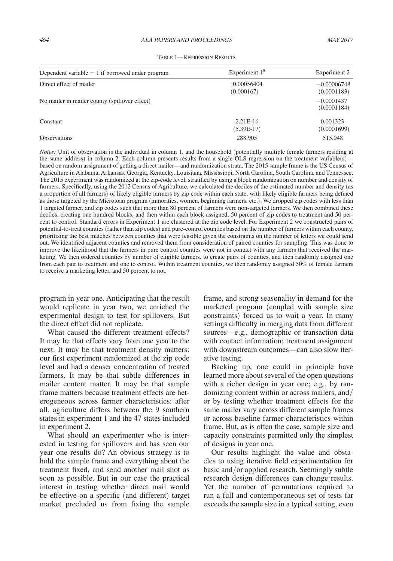<span id="page-2-0"></span>

| Dependent variable $= 1$ if borrowed under program | Experiment $1a$            | Experiment 2                 |
|----------------------------------------------------|----------------------------|------------------------------|
| Direct effect of mailer                            | 0.00056404<br>(0.000167)   | $-0.00006748$<br>(0.0001183) |
| No mailer in mailer county (spillover effect)      |                            | $-0.0001437$<br>(0.0001184)  |
| Constant                                           | $2.21E-16$<br>$(5.39E-17)$ | 0.001323<br>(0.0001699)      |
| <b>Observations</b>                                | 288,905                    | 515,048                      |

TABLE 1—REGRESSION RESULTS

*Notes:* Unit of observation is the individual in column 1, and the household (potentially multiple female farmers residing at the same address) in column 2. Each column presents results from a single OLS regression on the treatment variable(s)based on random assignment of getting a direct mailer—and randomization strata. The 2015 sample frame is the US Census of Agriculture in Alabama, Arkansas, Georgia, Kentucky, Louisiana, Mississippi, North Carolina, South Carolina, and Tennessee. The 2015 experiment was randomized at the zip-code level, stratified by using a block randomization on number and density of farmers. Specifically, using the 2012 Census of Agriculture, we calculated the deciles of the estimated number and density (as a proportion of all farmers) of likely eligible farmers by zip code within each state, with likely eligible farmers being defined as those targeted by the Microloan program (minorities, women, beginning farmers, etc.). We dropped zip codes with less than 1 targeted farmer, and zip codes such that more than 80 percent of farmers were non-targeted farmers. We then combined these deciles, creating one hundred blocks, and then within each block assigned, 50 percent of zip codes to treatment and 50 percent to control. Standard errors in Experiment 1 are clustered at the zip code level. For Experiment 2 we constructed pairs of potential-to-treat counties (rather than zip codes) and pure-control counties based on the number of farmers within each county, prioritizing the best matches between counties that were feasible given the constraints on the number of letters we could send out. We identified adjacent counties and removed them from consideration of paired counties for sampling. This was done to improve the likelihood that the farmers in pure control counties were not in contact with any farmers that received the marketing. We then ordered counties by number of eligible farmers, to create pairs of counties, and then randomly assigned one from each pair to treatment and one to control. Within treatment counties, we then randomly assigned 50% of female farmers to receive a marketing letter, and 50 percent to not.

program in year one. Anticipating that the result would replicate in year two, we enriched the experimental design to test for spillovers. But the direct effect did not replicate.

What caused the different treatment effects? It may be that effects vary from one year to the next. It may be that treatment density matters: our first experiment randomized at the zip code level and had a denser concentration of treated farmers. It may be that subtle differences in mailer content matter. It may be that sample frame matters because treatment effects are heterogeneous across farmer characteristics: after all, agriculture differs between the 9 southern states in experiment 1 and the 47 states included in experiment 2.

What should an experimenter who is interested in testing for spillovers and has seen our year one results do? An obvious strategy is to hold the sample frame and everything about the treatment fixed, and send another mail shot as soon as possible. But in our case the practical interest in testing whether direct mail would be effective on a specific (and different) target market precluded us from fixing the sample

frame, and strong seasonality in demand for the marketed program (coupled with sample size constraints) forced us to wait a year. In many settings difficulty in merging data from different sources—e.g., demographic or transaction data with contact information; treatment assignment with downstream outcomes—can also slow iterative testing.

Backing up, one could in principle have learned more about several of the open questions with a richer design in year one; e.g., by randomizing content within or across mailers, and/ or by testing whether treatment effects for the same mailer vary across different sample frames or across baseline farmer characteristics within frame. But, as is often the case, sample size and capacity constraints permitted only the simplest of designs in year one.

Our results highlight the value and obstacles to using iterative field experimentation for basic and/or applied research. Seemingly subtle research design differences can change results. Yet the number of permutations required to run a full and contemporaneous set of tests far exceeds the sample size in a typical setting, even